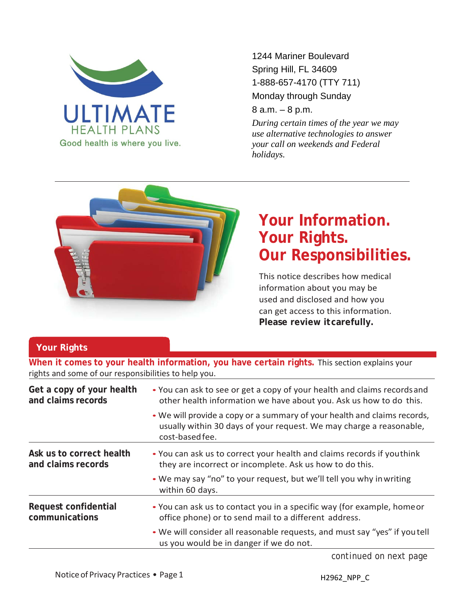

1244 Mariner Boulevard Spring Hill, FL 34609 1-888-657-4170 (TTY 711) Monday through Sunday

8 a.m. – 8 p.m.

*During certain times of the year we may use alternative technologies to answer your call on weekends and Federal holidays.*



## **Your Information. Your Rights. Our Responsibilities.**

This notice describes how medical information about you may be used and disclosed and how you can get access to this information. **Please review itcarefully.**

## **Your Rights**

**When it comes to your health information, you have certain rights.** This section explains your rights and some of our responsibilities to help you.

| Get a copy of your health<br>and claims records | • You can ask to see or get a copy of your health and claims records and<br>other health information we have about you. Ask us how to do this.                     |  |
|-------------------------------------------------|--------------------------------------------------------------------------------------------------------------------------------------------------------------------|--|
|                                                 | • We will provide a copy or a summary of your health and claims records,<br>usually within 30 days of your request. We may charge a reasonable,<br>cost-based fee. |  |
| Ask us to correct health<br>and claims records  | • You can ask us to correct your health and claims records if youthink<br>they are incorrect or incomplete. Ask us how to do this.                                 |  |
|                                                 | • We may say "no" to your request, but we'll tell you why in writing<br>within 60 days.                                                                            |  |
| Request confidential<br>communications          | • You can ask us to contact you in a specific way (for example, home or<br>office phone) or to send mail to a different address.                                   |  |
|                                                 | • We will consider all reasonable requests, and must say "yes" if you tell<br>us you would be in danger if we do not.                                              |  |
|                                                 |                                                                                                                                                                    |  |

*continued on next page*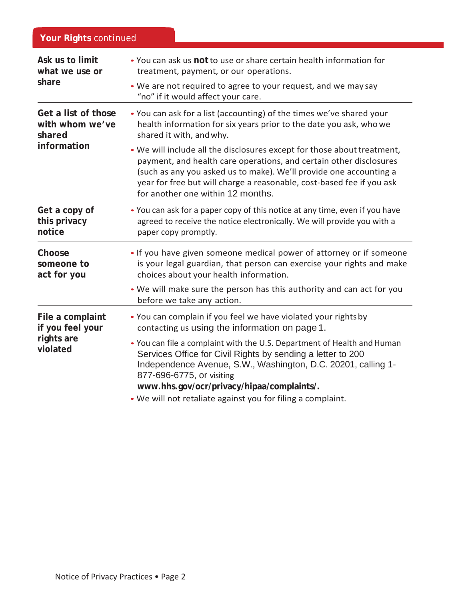| Your Rights continued                                           |                                                                                                                                                                                                                                                                                                                                                   |  |
|-----------------------------------------------------------------|---------------------------------------------------------------------------------------------------------------------------------------------------------------------------------------------------------------------------------------------------------------------------------------------------------------------------------------------------|--|
| Ask us to limit<br>what we use or<br>share                      | • You can ask us not to use or share certain health information for<br>treatment, payment, or our operations.<br>• We are not required to agree to your request, and we may say                                                                                                                                                                   |  |
| Get a list of those<br>with whom we've<br>shared<br>information | "no" if it would affect your care.<br>. You can ask for a list (accounting) of the times we've shared your<br>health information for six years prior to the date you ask, who we<br>shared it with, and why.                                                                                                                                      |  |
|                                                                 | . We will include all the disclosures except for those about treatment,<br>payment, and health care operations, and certain other disclosures<br>(such as any you asked us to make). We'll provide one accounting a<br>year for free but will charge a reasonable, cost-based fee if you ask<br>for another one within 12 months.                 |  |
| Get a copy of<br>this privacy<br>notice                         | • You can ask for a paper copy of this notice at any time, even if you have<br>agreed to receive the notice electronically. We will provide you with a<br>paper copy promptly.                                                                                                                                                                    |  |
| Choose<br>someone to<br>act for you                             | . If you have given someone medical power of attorney or if someone<br>is your legal guardian, that person can exercise your rights and make<br>choices about your health information.                                                                                                                                                            |  |
|                                                                 | . We will make sure the person has this authority and can act for you<br>before we take any action.                                                                                                                                                                                                                                               |  |
| File a complaint<br>if you feel your<br>rights are<br>violated  | . You can complain if you feel we have violated your rights by<br>contacting us using the information on page 1.                                                                                                                                                                                                                                  |  |
|                                                                 | . You can file a complaint with the U.S. Department of Health and Human<br>Services Office for Civil Rights by sending a letter to 200<br>Independence Avenue, S.W., Washington, D.C. 20201, calling 1-<br>877-696-6775, or visiting<br>www.hhs.gov/ocr/privacy/hipaa/complaints/.<br>. We will not retaliate against you for filing a complaint. |  |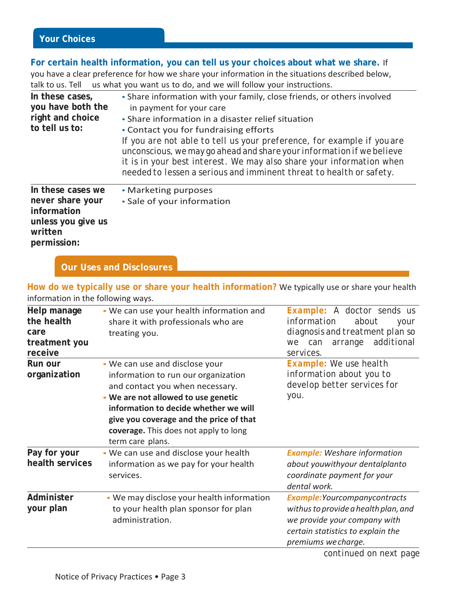## **For certain health information, you can tell us your choices about what we share.** If you have a clear preference for how we share your information in the situations described below, talk to us. Tell us what you want us to do, and we will follow your instructions. **In these cases, you have both the right and choice to tell us to: In these cases we**  *never* **share your information unless you give us written permission:** • Share information with your family, close friends, or others involved in payment for your care • Share information in a disaster relief situation • Contact you for fundraising efforts *If you are not able to tell us your preference, for example if youare unconscious,we may go ahead and share your information ifwe believe it is in your best interest. We may also share your information when needed to lessen a serious and imminent threat to health or safety.* • Marketing purposes • Sale of your information

**Our Uses and Disclosures**

**How do we typically use or share your health information?** We typically use or share your health information in the following ways.

| Help manage<br>the health<br>care<br>treatment you<br>receive | • We can use your health information and<br>share it with professionals who are<br>treating you.                                                                                                                                                                                                 | Example: A doctor sends us<br>information<br>about<br>your<br>diagnosis and treatment plan so<br>additional<br>arrange<br>can<br>we<br>services.                          |
|---------------------------------------------------------------|--------------------------------------------------------------------------------------------------------------------------------------------------------------------------------------------------------------------------------------------------------------------------------------------------|---------------------------------------------------------------------------------------------------------------------------------------------------------------------------|
| Run our<br>organization                                       | . We can use and disclose your<br>information to run our organization<br>and contact you when necessary.<br>. We are not allowed to use genetic<br>information to decide whether we will<br>give you coverage and the price of that<br>coverage. This does not apply to long<br>term care plans. | Example: We use health<br>information about you to<br>develop better services for<br>you.                                                                                 |
| Pay for your<br>health services                               | • We can use and disclose your health<br>information as we pay for your health<br>services.                                                                                                                                                                                                      | <b>Example:</b> Weshare information<br>about youwithyour dentalplanto<br>coordinate payment for your<br>dental work.                                                      |
| Administer<br>your plan                                       | • We may disclose your health information<br>to your health plan sponsor for plan<br>administration.                                                                                                                                                                                             | <b>Example: Yourcompany contracts</b><br>withus to provide a health plan, and<br>we provide your company with<br>certain statistics to explain the<br>premiums we charge. |
|                                                               |                                                                                                                                                                                                                                                                                                  | continued on nort noge                                                                                                                                                    |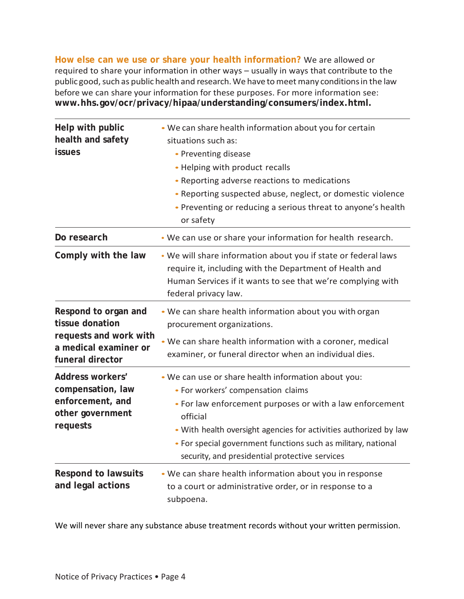**How else can we use or share your health information?** We are allowed or required to share your information in other ways – usually in ways that contribute to the public good, such as public health and research. We have to meet many conditions in the law before we can share your information for these purposes. For more information see: **[www.hhs.gov/ocr/privacy/hipaa/understanding/consumers/index.html.](http://www.hhs.gov/ocr/privacy/hipaa/understanding/consumers/index.html)**

| Help with public<br>health and safety<br><b>issues</b>                                                         | . We can share health information about you for certain<br>situations such as:<br>• Preventing disease<br>• Helping with product recalls<br>• Reporting adverse reactions to medications<br>. Reporting suspected abuse, neglect, or domestic violence<br>• Preventing or reducing a serious threat to anyone's health<br>or safety                       |
|----------------------------------------------------------------------------------------------------------------|-----------------------------------------------------------------------------------------------------------------------------------------------------------------------------------------------------------------------------------------------------------------------------------------------------------------------------------------------------------|
| Do research                                                                                                    | . We can use or share your information for health research.                                                                                                                                                                                                                                                                                               |
| Comply with the law                                                                                            | . We will share information about you if state or federal laws<br>require it, including with the Department of Health and<br>Human Services if it wants to see that we're complying with<br>federal privacy law.                                                                                                                                          |
| Respond to organ and<br>tissue donation<br>requests and work with<br>a medical examiner or<br>funeral director | • We can share health information about you with organ<br>procurement organizations.<br>. We can share health information with a coroner, medical<br>examiner, or funeral director when an individual dies.                                                                                                                                               |
| Address workers'<br>compensation, law<br>enforcement, and<br>other government<br>requests                      | . We can use or share health information about you:<br>• For workers' compensation claims<br>• For law enforcement purposes or with a law enforcement<br>official<br>. With health oversight agencies for activities authorized by law<br>• For special government functions such as military, national<br>security, and presidential protective services |
| <b>Respond to lawsuits</b><br>and legal actions                                                                | . We can share health information about you in response<br>to a court or administrative order, or in response to a<br>subpoena.                                                                                                                                                                                                                           |

We will never share any substance abuse treatment records without your written permission.